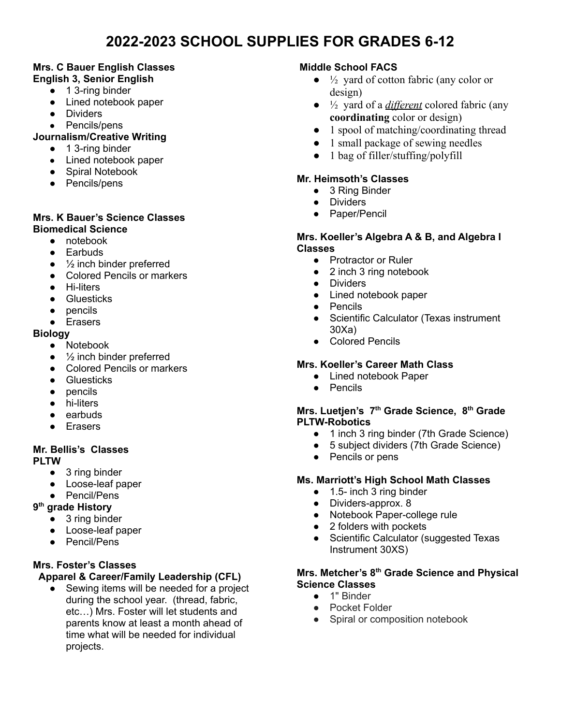# **2022-2023 SCHOOL SUPPLIES FOR GRADES 6-12**

#### **Mrs. C Bauer English Classes English 3, Senior English**

- 1 3-ring binder
- Lined notebook paper
- Dividers
- Pencils/pens

#### **Journalism/Creative Writing**

- 1 3-ring binder
- Lined notebook paper
- Spiral Notebook
- Pencils/pens

#### **Mrs. K Bauer's Science Classes Biomedical Science**

- notebook
- Earbuds
- $\bullet$   $\frac{1}{2}$  inch binder preferred
- Colored Pencils or markers
- Hi-liters
- Gluesticks
- pencils
- Erasers

#### **Biology**

- Notebook
- $\bullet$   $\frac{1}{2}$  inch binder preferred
- Colored Pencils or markers
- Gluesticks
- pencils
- hi-liters
- earbuds
- Erasers

#### **Mr. Bellis's Classes PLTW**

- 3 ring binder
- Loose-leaf paper
- Pencil/Pens

#### **9 th grade History**

- 3 ring binder
- Loose-leaf paper
- Pencil/Pens

#### **Mrs. Foster's Classes**

#### **Apparel & Career/Family Leadership (CFL)**

● Sewing items will be needed for a project during the school year. (thread, fabric, etc…) Mrs. Foster will let students and parents know at least a month ahead of time what will be needed for individual projects.

#### **Middle School FACS**

- $\bullet$   $\frac{1}{2}$  yard of cotton fabric (any color or design)
- ½ yard of a *different* colored fabric (any **coordinating** color or design)
- 1 spool of matching/coordinating thread
- 1 small package of sewing needles
- 1 bag of filler/stuffing/polyfill

## **Mr. Heimsoth's Classes**

- 3 Ring Binder
- Dividers
- Paper/Pencil

#### **Mrs. Koeller's Algebra A & B, and Algebra I Classes**

- Protractor or Ruler
- 2 inch 3 ring notebook
- Dividers
- Lined notebook paper
- Pencils
- Scientific Calculator (Texas instrument 30Xa)
- Colored Pencils

#### **Mrs. Koeller's Career Math Class**

- **●** Lined notebook Paper
- **●** Pencils

#### **Mrs. Luetjen's 7 th Grade Science, 8 th Grade PLTW-Robotics**

- 1 inch 3 ring binder (7th Grade Science)
- 5 subject dividers (7th Grade Science)
- Pencils or pens

#### **Ms. Marriott's High School Math Classes**

- 1.5- inch 3 ring binder
- Dividers-approx. 8
- Notebook Paper-college rule
- 2 folders with pockets
- Scientific Calculator (suggested Texas Instrument 30XS)

#### **Mrs. Metcher's 8 th Grade Science and Physical Science Classes**

- 1" Binder
- Pocket Folder
- Spiral or composition notebook